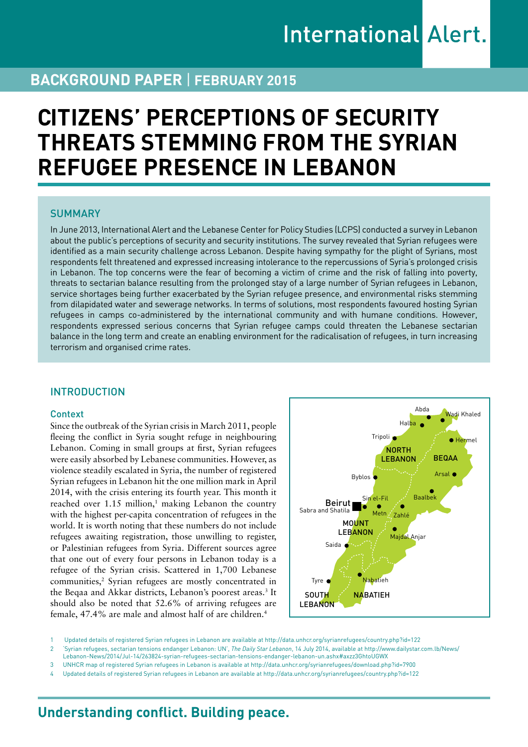# **BACKGROUND PAPER** | **February 2015**

# **CITIZENS' PERCEPTIONS OF SECURITY THREATS STEMMING FROM THE SYRIAN REFUGEE PRESENCE IN LEBANON**

### **SUMMARY**

In June 2013, International Alert and the Lebanese Center for Policy Studies (LCPS) conducted a survey in Lebanon about the public's perceptions of security and security institutions. The survey revealed that Syrian refugees were identified as a main security challenge across Lebanon. Despite having sympathy for the plight of Syrians, most respondents felt threatened and expressed increasing intolerance to the repercussions of Syria's prolonged crisis in Lebanon. The top concerns were the fear of becoming a victim of crime and the risk of falling into poverty, threats to sectarian balance resulting from the prolonged stay of a large number of Syrian refugees in Lebanon, service shortages being further exacerbated by the Syrian refugee presence, and environmental risks stemming from dilapidated water and sewerage networks. In terms of solutions, most respondents favoured hosting Syrian refugees in camps co-administered by the international community and with humane conditions. However, respondents expressed serious concerns that Syrian refugee camps could threaten the Lebanese sectarian balance in the long term and create an enabling environment for the radicalisation of refugees, in turn increasing terrorism and organised crime rates.

## **INTRODUCTION**

#### Context

Since the outbreak of the Syrian crisis in March 2011, people fleeing the conflict in Syria sought refuge in neighbouring Lebanon. Coming in small groups at first, Syrian refugees were easily absorbed by Lebanese communities. However, as violence steadily escalated in Syria, the number of registered Syrian refugees in Lebanon hit the one million mark in April 2014, with the crisis entering its fourth year. This month it reached over  $1.15 \text{ million}$ ,<sup>1</sup> making Lebanon the country with the highest per-capita concentration of refugees in the world. It is worth noting that these numbers do not include refugees awaiting registration, those unwilling to register, or Palestinian refugees from Syria. Different sources agree that one out of every four persons in Lebanon today is a refugee of the Syrian crisis. Scattered in 1,700 Lebanese communities,<sup>2</sup> Syrian refugees are mostly concentrated in the Beqaa and Akkar districts, Lebanon's poorest areas.<sup>3</sup> It should also be noted that 52.6% of arriving refugees are female, 47.4% are male and almost half of are children.4



1 Updated details of registered Syrian refugees in Lebanon are available at <http://data.unhcr.org/syrianrefugees/country.php?id=122>

2 'Syrian refugees, sectarian tensions endanger Lebanon: UN', *The Daily Star Lebanon*, 14 July 2014, available at [http://www.dailystar.com.lb/News/](http://www.dailystar.com.lb/News/Lebanon-News/2014/Jul-14/263824-syrian-refugees-sectarian-tensions-endanger-lebanon-un.ashx#axzz3GhtoUGWX)

[Lebanon-News/2014/Jul-14/263824-syrian-refugees-sectarian-tensions-endanger-lebanon-un.ashx#axzz3GhtoUGWX](http://www.dailystar.com.lb/News/Lebanon-News/2014/Jul-14/263824-syrian-refugees-sectarian-tensions-endanger-lebanon-un.ashx#axzz3GhtoUGWX)

3 UNHCR map of registered Syrian refugees in Lebanon is available at <http://data.unhcr.org/syrianrefugees/download.php?id=7900>

4 Updated details of registered Syrian refugees in Lebanon are available at<http://data.unhcr.org/syrianrefugees/country.php?id=122>

# **Understanding conflict. Building peace.**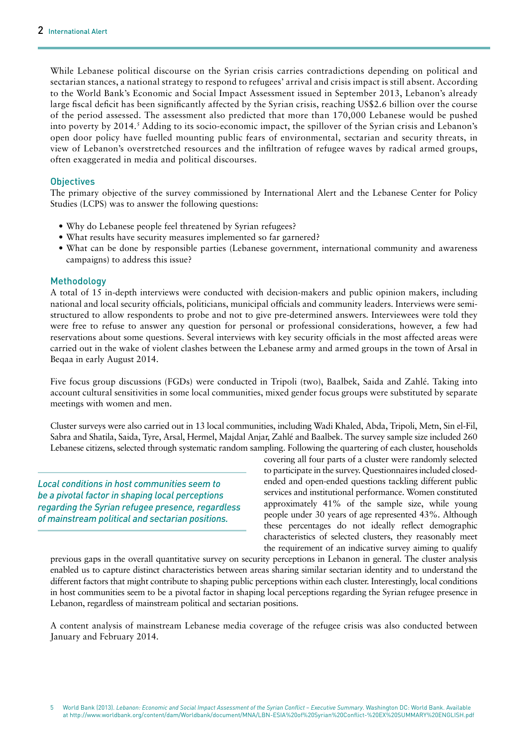While Lebanese political discourse on the Syrian crisis carries contradictions depending on political and sectarian stances, a national strategy to respond to refugees' arrival and crisis impact is still absent. According to the World Bank's Economic and Social Impact Assessment issued in September 2013, Lebanon's already large fiscal deficit has been significantly affected by the Syrian crisis, reaching US\$2.6 billion over the course of the period assessed. The assessment also predicted that more than 170,000 Lebanese would be pushed into poverty by 2014.<sup>5</sup> Adding to its socio-economic impact, the spillover of the Syrian crisis and Lebanon's open door policy have fuelled mounting public fears of environmental, sectarian and security threats, in view of Lebanon's overstretched resources and the infiltration of refugee waves by radical armed groups, often exaggerated in media and political discourses.

#### **Objectives**

The primary objective of the survey commissioned by International Alert and the Lebanese Center for Policy Studies (LCPS) was to answer the following questions:

- Why do Lebanese people feel threatened by Syrian refugees?
- What results have security measures implemented so far garnered?
- What can be done by responsible parties (Lebanese government, international community and awareness campaigns) to address this issue?

#### Methodology

A total of 15 in-depth interviews were conducted with decision-makers and public opinion makers, including national and local security officials, politicians, municipal officials and community leaders. Interviews were semistructured to allow respondents to probe and not to give pre-determined answers. Interviewees were told they were free to refuse to answer any question for personal or professional considerations, however, a few had reservations about some questions. Several interviews with key security officials in the most affected areas were carried out in the wake of violent clashes between the Lebanese army and armed groups in the town of Arsal in Beqaa in early August 2014.

Five focus group discussions (FGDs) were conducted in Tripoli (two), Baalbek, Saida and Zahlé. Taking into account cultural sensitivities in some local communities, mixed gender focus groups were substituted by separate meetings with women and men.

Cluster surveys were also carried out in 13 local communities, including Wadi Khaled, Abda, Tripoli, Metn, Sin el-Fil, Sabra and Shatila, Saida, Tyre, Arsal, Hermel, Majdal Anjar, Zahlé and Baalbek. The survey sample size included 260 Lebanese citizens, selected through systematic random sampling. Following the quartering of each cluster, households

*Local conditions in host communities seem to be a pivotal factor in shaping local perceptions regarding the Syrian refugee presence, regardless of mainstream political and sectarian positions.*

covering all four parts of a cluster were randomly selected to participate in the survey. Questionnaires included closedended and open-ended questions tackling different public services and institutional performance. Women constituted approximately 41% of the sample size, while young people under 30 years of age represented 43%. Although these percentages do not ideally reflect demographic characteristics of selected clusters, they reasonably meet the requirement of an indicative survey aiming to qualify

previous gaps in the overall quantitative survey on security perceptions in Lebanon in general. The cluster analysis enabled us to capture distinct characteristics between areas sharing similar sectarian identity and to understand the different factors that might contribute to shaping public perceptions within each cluster. Interestingly, local conditions in host communities seem to be a pivotal factor in shaping local perceptions regarding the Syrian refugee presence in Lebanon, regardless of mainstream political and sectarian positions.

A content analysis of mainstream Lebanese media coverage of the refugee crisis was also conducted between January and February 2014.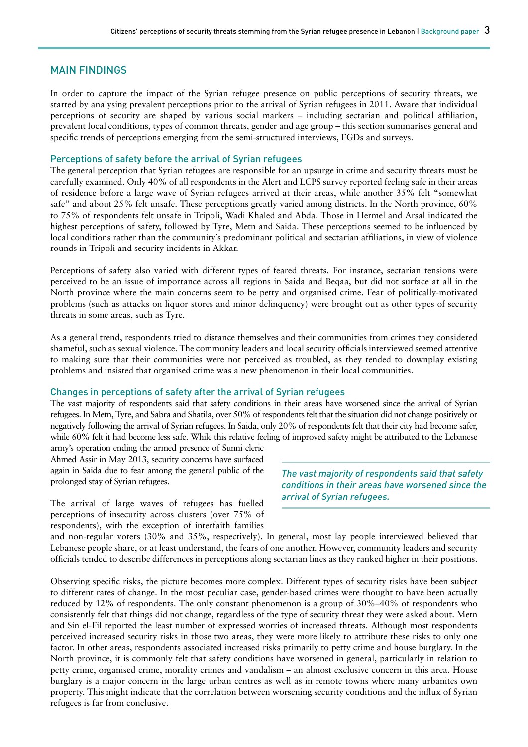#### MAIN FINDINGS

In order to capture the impact of the Syrian refugee presence on public perceptions of security threats, we started by analysing prevalent perceptions prior to the arrival of Syrian refugees in 2011. Aware that individual perceptions of security are shaped by various social markers – including sectarian and political affiliation, prevalent local conditions, types of common threats, gender and age group – this section summarises general and specific trends of perceptions emerging from the semi-structured interviews, FGDs and surveys.

#### Perceptions of safety before the arrival of Syrian refugees

The general perception that Syrian refugees are responsible for an upsurge in crime and security threats must be carefully examined. Only 40% of all respondents in the Alert and LCPS survey reported feeling safe in their areas of residence before a large wave of Syrian refugees arrived at their areas, while another 35% felt "somewhat safe" and about 25% felt unsafe. These perceptions greatly varied among districts. In the North province, 60% to 75% of respondents felt unsafe in Tripoli, Wadi Khaled and Abda. Those in Hermel and Arsal indicated the highest perceptions of safety, followed by Tyre, Metn and Saida. These perceptions seemed to be influenced by local conditions rather than the community's predominant political and sectarian affiliations, in view of violence rounds in Tripoli and security incidents in Akkar.

Perceptions of safety also varied with different types of feared threats. For instance, sectarian tensions were perceived to be an issue of importance across all regions in Saida and Beqaa, but did not surface at all in the North province where the main concerns seem to be petty and organised crime. Fear of politically-motivated problems (such as attacks on liquor stores and minor delinquency) were brought out as other types of security threats in some areas, such as Tyre.

As a general trend, respondents tried to distance themselves and their communities from crimes they considered shameful, such as sexual violence. The community leaders and local security officials interviewed seemed attentive to making sure that their communities were not perceived as troubled, as they tended to downplay existing problems and insisted that organised crime was a new phenomenon in their local communities.

#### Changes in perceptions of safety after the arrival of Syrian refugees

The vast majority of respondents said that safety conditions in their areas have worsened since the arrival of Syrian refugees. In Metn, Tyre, and Sabra and Shatila, over 50% of respondents felt that the situation did not change positively or negatively following the arrival of Syrian refugees. In Saida, only 20% of respondents felt that their city had become safer, while 60% felt it had become less safe. While this relative feeling of improved safety might be attributed to the Lebanese

army's operation ending the armed presence of Sunni cleric Ahmed Assir in May 2013, security concerns have surfaced again in Saida due to fear among the general public of the prolonged stay of Syrian refugees.

The arrival of large waves of refugees has fuelled perceptions of insecurity across clusters (over 75% of respondents), with the exception of interfaith families *The vast majority of respondents said that safety conditions in their areas have worsened since the arrival of Syrian refugees.*

and non-regular voters (30% and 35%, respectively). In general, most lay people interviewed believed that Lebanese people share, or at least understand, the fears of one another. However, community leaders and security officials tended to describe differences in perceptions along sectarian lines as they ranked higher in their positions.

Observing specific risks, the picture becomes more complex. Different types of security risks have been subject to different rates of change. In the most peculiar case, gender-based crimes were thought to have been actually reduced by 12% of respondents. The only constant phenomenon is a group of 30%–40% of respondents who consistently felt that things did not change, regardless of the type of security threat they were asked about. Metn and Sin el-Fil reported the least number of expressed worries of increased threats. Although most respondents perceived increased security risks in those two areas, they were more likely to attribute these risks to only one factor. In other areas, respondents associated increased risks primarily to petty crime and house burglary. In the North province, it is commonly felt that safety conditions have worsened in general, particularly in relation to petty crime, organised crime, morality crimes and vandalism – an almost exclusive concern in this area. House burglary is a major concern in the large urban centres as well as in remote towns where many urbanites own property. This might indicate that the correlation between worsening security conditions and the influx of Syrian refugees is far from conclusive.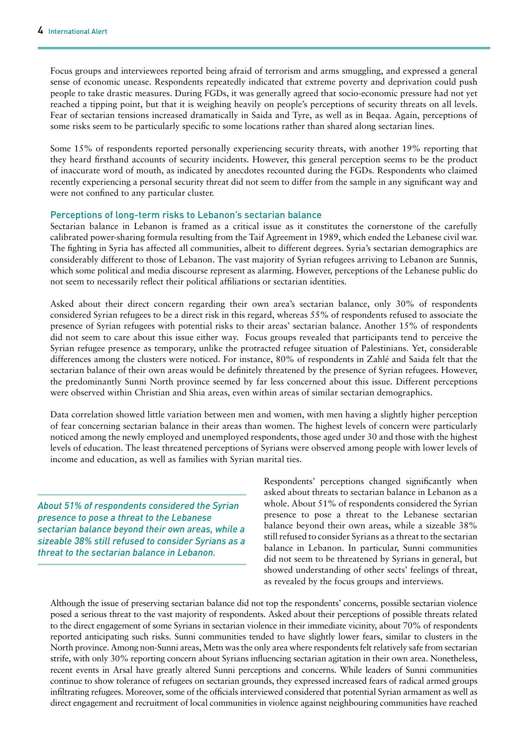Focus groups and interviewees reported being afraid of terrorism and arms smuggling, and expressed a general sense of economic unease. Respondents repeatedly indicated that extreme poverty and deprivation could push people to take drastic measures. During FGDs, it was generally agreed that socio-economic pressure had not yet reached a tipping point, but that it is weighing heavily on people's perceptions of security threats on all levels. Fear of sectarian tensions increased dramatically in Saida and Tyre, as well as in Beqaa. Again, perceptions of some risks seem to be particularly specific to some locations rather than shared along sectarian lines.

Some 15% of respondents reported personally experiencing security threats, with another 19% reporting that they heard firsthand accounts of security incidents. However, this general perception seems to be the product of inaccurate word of mouth, as indicated by anecdotes recounted during the FGDs. Respondents who claimed recently experiencing a personal security threat did not seem to differ from the sample in any significant way and were not confined to any particular cluster.

#### Perceptions of long-term risks to Lebanon's sectarian balance

Sectarian balance in Lebanon is framed as a critical issue as it constitutes the cornerstone of the carefully calibrated power-sharing formula resulting from the Taif Agreement in 1989, which ended the Lebanese civil war. The fighting in Syria has affected all communities, albeit to different degrees. Syria's sectarian demographics are considerably different to those of Lebanon. The vast majority of Syrian refugees arriving to Lebanon are Sunnis, which some political and media discourse represent as alarming. However, perceptions of the Lebanese public do not seem to necessarily reflect their political affiliations or sectarian identities.

Asked about their direct concern regarding their own area's sectarian balance, only 30% of respondents considered Syrian refugees to be a direct risk in this regard, whereas 55% of respondents refused to associate the presence of Syrian refugees with potential risks to their areas' sectarian balance. Another 15% of respondents did not seem to care about this issue either way. Focus groups revealed that participants tend to perceive the Syrian refugee presence as temporary, unlike the protracted refugee situation of Palestinians. Yet, considerable differences among the clusters were noticed. For instance, 80% of respondents in Zahlé and Saida felt that the sectarian balance of their own areas would be definitely threatened by the presence of Syrian refugees. However, the predominantly Sunni North province seemed by far less concerned about this issue. Different perceptions were observed within Christian and Shia areas, even within areas of similar sectarian demographics.

Data correlation showed little variation between men and women, with men having a slightly higher perception of fear concerning sectarian balance in their areas than women. The highest levels of concern were particularly noticed among the newly employed and unemployed respondents, those aged under 30 and those with the highest levels of education. The least threatened perceptions of Syrians were observed among people with lower levels of income and education, as well as families with Syrian marital ties.

*About 51% of respondents considered the Syrian presence to pose a threat to the Lebanese sectarian balance beyond their own areas, while a sizeable 38% still refused to consider Syrians as a threat to the sectarian balance in Lebanon.*

Respondents' perceptions changed significantly when asked about threats to sectarian balance in Lebanon as a whole. About 51% of respondents considered the Syrian presence to pose a threat to the Lebanese sectarian balance beyond their own areas, while a sizeable 38% still refused to consider Syrians as a threat to the sectarian balance in Lebanon. In particular, Sunni communities did not seem to be threatened by Syrians in general, but showed understanding of other sects' feelings of threat, as revealed by the focus groups and interviews.

Although the issue of preserving sectarian balance did not top the respondents' concerns, possible sectarian violence posed a serious threat to the vast majority of respondents. Asked about their perceptions of possible threats related to the direct engagement of some Syrians in sectarian violence in their immediate vicinity, about 70% of respondents reported anticipating such risks. Sunni communities tended to have slightly lower fears, similar to clusters in the North province. Among non-Sunni areas, Metn was the only area where respondents felt relatively safe from sectarian strife, with only 30% reporting concern about Syrians influencing sectarian agitation in their own area. Nonetheless, recent events in Arsal have greatly altered Sunni perceptions and concerns. While leaders of Sunni communities continue to show tolerance of refugees on sectarian grounds, they expressed increased fears of radical armed groups infiltrating refugees. Moreover, some of the officials interviewed considered that potential Syrian armament as well as direct engagement and recruitment of local communities in violence against neighbouring communities have reached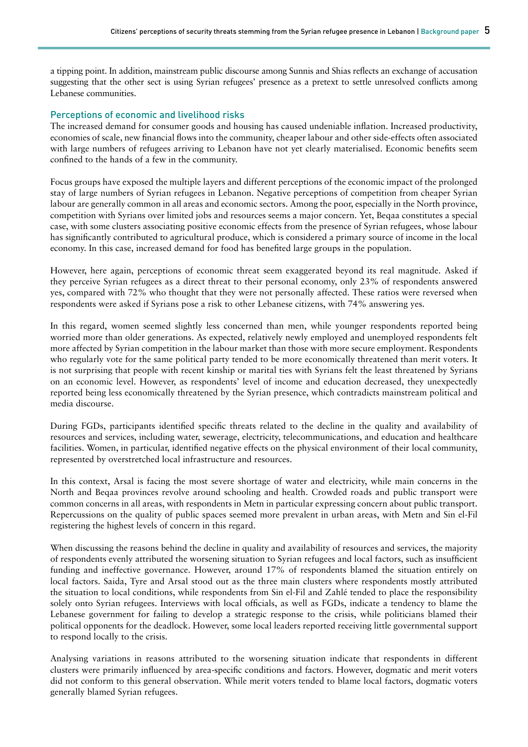a tipping point. In addition, mainstream public discourse among Sunnis and Shias reflects an exchange of accusation suggesting that the other sect is using Syrian refugees' presence as a pretext to settle unresolved conflicts among Lebanese communities.

#### Perceptions of economic and livelihood risks

The increased demand for consumer goods and housing has caused undeniable inflation. Increased productivity, economies of scale, new financial flows into the community, cheaper labour and other side-effects often associated with large numbers of refugees arriving to Lebanon have not yet clearly materialised. Economic benefits seem confined to the hands of a few in the community.

Focus groups have exposed the multiple layers and different perceptions of the economic impact of the prolonged stay of large numbers of Syrian refugees in Lebanon. Negative perceptions of competition from cheaper Syrian labour are generally common in all areas and economic sectors. Among the poor, especially in the North province, competition with Syrians over limited jobs and resources seems a major concern. Yet, Beqaa constitutes a special case, with some clusters associating positive economic effects from the presence of Syrian refugees, whose labour has significantly contributed to agricultural produce, which is considered a primary source of income in the local economy. In this case, increased demand for food has benefited large groups in the population.

However, here again, perceptions of economic threat seem exaggerated beyond its real magnitude. Asked if they perceive Syrian refugees as a direct threat to their personal economy, only 23% of respondents answered yes, compared with 72% who thought that they were not personally affected. These ratios were reversed when respondents were asked if Syrians pose a risk to other Lebanese citizens, with 74% answering yes.

In this regard, women seemed slightly less concerned than men, while younger respondents reported being worried more than older generations. As expected, relatively newly employed and unemployed respondents felt more affected by Syrian competition in the labour market than those with more secure employment. Respondents who regularly vote for the same political party tended to be more economically threatened than merit voters. It is not surprising that people with recent kinship or marital ties with Syrians felt the least threatened by Syrians on an economic level. However, as respondents' level of income and education decreased, they unexpectedly reported being less economically threatened by the Syrian presence, which contradicts mainstream political and media discourse.

During FGDs, participants identified specific threats related to the decline in the quality and availability of resources and services, including water, sewerage, electricity, telecommunications, and education and healthcare facilities. Women, in particular, identified negative effects on the physical environment of their local community, represented by overstretched local infrastructure and resources.

In this context, Arsal is facing the most severe shortage of water and electricity, while main concerns in the North and Beqaa provinces revolve around schooling and health. Crowded roads and public transport were common concerns in all areas, with respondents in Metn in particular expressing concern about public transport. Repercussions on the quality of public spaces seemed more prevalent in urban areas, with Metn and Sin el-Fil registering the highest levels of concern in this regard.

When discussing the reasons behind the decline in quality and availability of resources and services, the majority of respondents evenly attributed the worsening situation to Syrian refugees and local factors, such as insufficient funding and ineffective governance. However, around 17% of respondents blamed the situation entirely on local factors. Saida, Tyre and Arsal stood out as the three main clusters where respondents mostly attributed the situation to local conditions, while respondents from Sin el-Fil and Zahlé tended to place the responsibility solely onto Syrian refugees. Interviews with local officials, as well as FGDs, indicate a tendency to blame the Lebanese government for failing to develop a strategic response to the crisis, while politicians blamed their political opponents for the deadlock. However, some local leaders reported receiving little governmental support to respond locally to the crisis.

Analysing variations in reasons attributed to the worsening situation indicate that respondents in different clusters were primarily influenced by area-specific conditions and factors. However, dogmatic and merit voters did not conform to this general observation. While merit voters tended to blame local factors, dogmatic voters generally blamed Syrian refugees.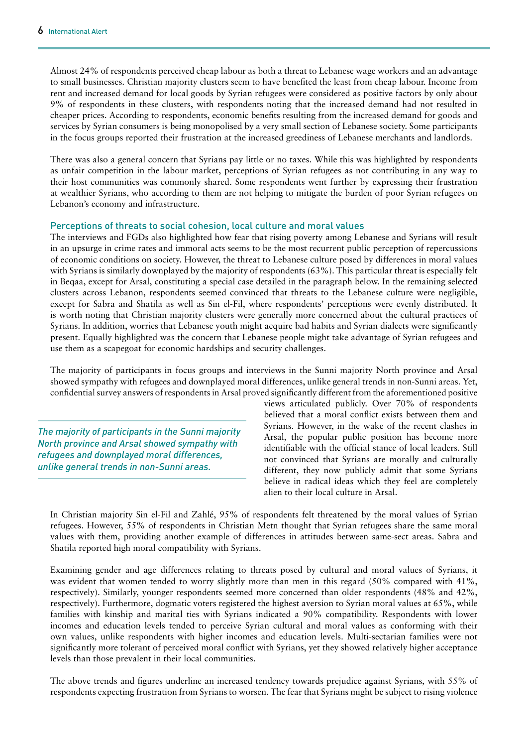Almost 24% of respondents perceived cheap labour as both a threat to Lebanese wage workers and an advantage to small businesses. Christian majority clusters seem to have benefited the least from cheap labour. Income from rent and increased demand for local goods by Syrian refugees were considered as positive factors by only about 9% of respondents in these clusters, with respondents noting that the increased demand had not resulted in cheaper prices. According to respondents, economic benefits resulting from the increased demand for goods and services by Syrian consumers is being monopolised by a very small section of Lebanese society. Some participants in the focus groups reported their frustration at the increased greediness of Lebanese merchants and landlords.

There was also a general concern that Syrians pay little or no taxes. While this was highlighted by respondents as unfair competition in the labour market, perceptions of Syrian refugees as not contributing in any way to their host communities was commonly shared. Some respondents went further by expressing their frustration at wealthier Syrians, who according to them are not helping to mitigate the burden of poor Syrian refugees on Lebanon's economy and infrastructure.

#### Perceptions of threats to social cohesion, local culture and moral values

The interviews and FGDs also highlighted how fear that rising poverty among Lebanese and Syrians will result in an upsurge in crime rates and immoral acts seems to be the most recurrent public perception of repercussions of economic conditions on society. However, the threat to Lebanese culture posed by differences in moral values with Syrians is similarly downplayed by the majority of respondents (63%). This particular threat is especially felt in Beqaa, except for Arsal, constituting a special case detailed in the paragraph below. In the remaining selected clusters across Lebanon, respondents seemed convinced that threats to the Lebanese culture were negligible, except for Sabra and Shatila as well as Sin el-Fil, where respondents' perceptions were evenly distributed. It is worth noting that Christian majority clusters were generally more concerned about the cultural practices of Syrians. In addition, worries that Lebanese youth might acquire bad habits and Syrian dialects were significantly present. Equally highlighted was the concern that Lebanese people might take advantage of Syrian refugees and use them as a scapegoat for economic hardships and security challenges.

The majority of participants in focus groups and interviews in the Sunni majority North province and Arsal showed sympathy with refugees and downplayed moral differences, unlike general trends in non-Sunni areas. Yet, confidential survey answers of respondents in Arsal proved significantly different from the aforementioned positive

*The majority of participants in the Sunni majority North province and Arsal showed sympathy with refugees and downplayed moral differences, unlike general trends in non-Sunni areas.*

views articulated publicly. Over 70% of respondents believed that a moral conflict exists between them and Syrians. However, in the wake of the recent clashes in Arsal, the popular public position has become more identifiable with the official stance of local leaders. Still not convinced that Syrians are morally and culturally different, they now publicly admit that some Syrians believe in radical ideas which they feel are completely alien to their local culture in Arsal.

In Christian majority Sin el-Fil and Zahlé, 95% of respondents felt threatened by the moral values of Syrian refugees. However, 55% of respondents in Christian Metn thought that Syrian refugees share the same moral values with them, providing another example of differences in attitudes between same-sect areas. Sabra and Shatila reported high moral compatibility with Syrians.

Examining gender and age differences relating to threats posed by cultural and moral values of Syrians, it was evident that women tended to worry slightly more than men in this regard (50% compared with 41%, respectively). Similarly, younger respondents seemed more concerned than older respondents (48% and 42%, respectively). Furthermore, dogmatic voters registered the highest aversion to Syrian moral values at 65%, while families with kinship and marital ties with Syrians indicated a 90% compatibility. Respondents with lower incomes and education levels tended to perceive Syrian cultural and moral values as conforming with their own values, unlike respondents with higher incomes and education levels. Multi-sectarian families were not significantly more tolerant of perceived moral conflict with Syrians, yet they showed relatively higher acceptance levels than those prevalent in their local communities.

The above trends and figures underline an increased tendency towards prejudice against Syrians, with 55% of respondents expecting frustration from Syrians to worsen. The fear that Syrians might be subject to rising violence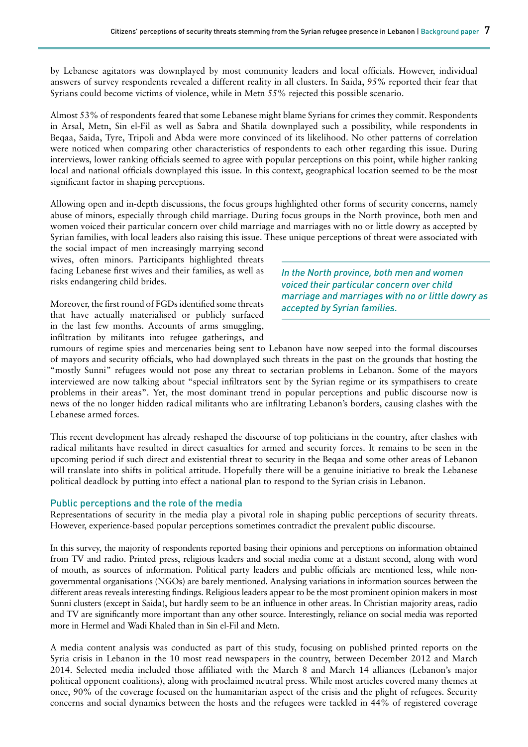by Lebanese agitators was downplayed by most community leaders and local officials. However, individual answers of survey respondents revealed a different reality in all clusters. In Saida, 95% reported their fear that Syrians could become victims of violence, while in Metn 55% rejected this possible scenario.

Almost 53% of respondents feared that some Lebanese might blame Syrians for crimes they commit. Respondents in Arsal, Metn, Sin el-Fil as well as Sabra and Shatila downplayed such a possibility, while respondents in Beqaa, Saida, Tyre, Tripoli and Abda were more convinced of its likelihood. No other patterns of correlation were noticed when comparing other characteristics of respondents to each other regarding this issue. During interviews, lower ranking officials seemed to agree with popular perceptions on this point, while higher ranking local and national officials downplayed this issue. In this context, geographical location seemed to be the most significant factor in shaping perceptions.

Allowing open and in-depth discussions, the focus groups highlighted other forms of security concerns, namely abuse of minors, especially through child marriage. During focus groups in the North province, both men and women voiced their particular concern over child marriage and marriages with no or little dowry as accepted by Syrian families, with local leaders also raising this issue. These unique perceptions of threat were associated with

the social impact of men increasingly marrying second wives, often minors. Participants highlighted threats facing Lebanese first wives and their families, as well as risks endangering child brides.

Moreover, the first round of FGDs identified some threats that have actually materialised or publicly surfaced in the last few months. Accounts of arms smuggling, infiltration by militants into refugee gatherings, and *In the North province, both men and women voiced their particular concern over child marriage and marriages with no or little dowry as accepted by Syrian families.*

rumours of regime spies and mercenaries being sent to Lebanon have now seeped into the formal discourses of mayors and security officials, who had downplayed such threats in the past on the grounds that hosting the "mostly Sunni" refugees would not pose any threat to sectarian problems in Lebanon. Some of the mayors interviewed are now talking about "special infiltrators sent by the Syrian regime or its sympathisers to create problems in their areas". Yet, the most dominant trend in popular perceptions and public discourse now is news of the no longer hidden radical militants who are infiltrating Lebanon's borders, causing clashes with the Lebanese armed forces.

This recent development has already reshaped the discourse of top politicians in the country, after clashes with radical militants have resulted in direct casualties for armed and security forces. It remains to be seen in the upcoming period if such direct and existential threat to security in the Beqaa and some other areas of Lebanon will translate into shifts in political attitude. Hopefully there will be a genuine initiative to break the Lebanese political deadlock by putting into effect a national plan to respond to the Syrian crisis in Lebanon.

#### Public perceptions and the role of the media

Representations of security in the media play a pivotal role in shaping public perceptions of security threats. However, experience-based popular perceptions sometimes contradict the prevalent public discourse.

In this survey, the majority of respondents reported basing their opinions and perceptions on information obtained from TV and radio. Printed press, religious leaders and social media come at a distant second, along with word of mouth, as sources of information. Political party leaders and public officials are mentioned less, while nongovernmental organisations (NGOs) are barely mentioned. Analysing variations in information sources between the different areas reveals interesting findings. Religious leaders appear to be the most prominent opinion makers in most Sunni clusters (except in Saida), but hardly seem to be an influence in other areas. In Christian majority areas, radio and TV are significantly more important than any other source. Interestingly, reliance on social media was reported more in Hermel and Wadi Khaled than in Sin el-Fil and Metn.

A media content analysis was conducted as part of this study, focusing on published printed reports on the Syria crisis in Lebanon in the 10 most read newspapers in the country, between December 2012 and March 2014. Selected media included those affiliated with the March 8 and March 14 alliances (Lebanon's major political opponent coalitions), along with proclaimed neutral press. While most articles covered many themes at once, 90% of the coverage focused on the humanitarian aspect of the crisis and the plight of refugees. Security concerns and social dynamics between the hosts and the refugees were tackled in 44% of registered coverage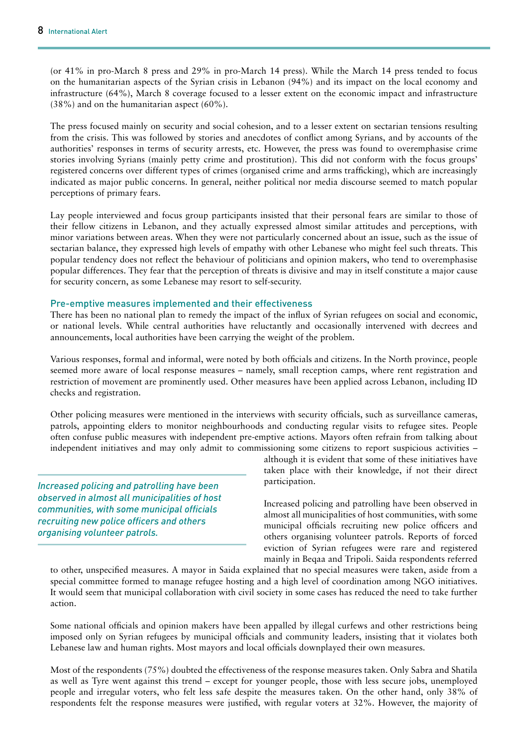(or 41% in pro-March 8 press and 29% in pro-March 14 press). While the March 14 press tended to focus on the humanitarian aspects of the Syrian crisis in Lebanon (94%) and its impact on the local economy and infrastructure (64%), March 8 coverage focused to a lesser extent on the economic impact and infrastructure (38%) and on the humanitarian aspect (60%).

The press focused mainly on security and social cohesion, and to a lesser extent on sectarian tensions resulting from the crisis. This was followed by stories and anecdotes of conflict among Syrians, and by accounts of the authorities' responses in terms of security arrests, etc. However, the press was found to overemphasise crime stories involving Syrians (mainly petty crime and prostitution). This did not conform with the focus groups' registered concerns over different types of crimes (organised crime and arms trafficking), which are increasingly indicated as major public concerns. In general, neither political nor media discourse seemed to match popular perceptions of primary fears.

Lay people interviewed and focus group participants insisted that their personal fears are similar to those of their fellow citizens in Lebanon, and they actually expressed almost similar attitudes and perceptions, with minor variations between areas. When they were not particularly concerned about an issue, such as the issue of sectarian balance, they expressed high levels of empathy with other Lebanese who might feel such threats. This popular tendency does not reflect the behaviour of politicians and opinion makers, who tend to overemphasise popular differences. They fear that the perception of threats is divisive and may in itself constitute a major cause for security concern, as some Lebanese may resort to self-security.

#### Pre-emptive measures implemented and their effectiveness

There has been no national plan to remedy the impact of the influx of Syrian refugees on social and economic, or national levels. While central authorities have reluctantly and occasionally intervened with decrees and announcements, local authorities have been carrying the weight of the problem.

Various responses, formal and informal, were noted by both officials and citizens. In the North province, people seemed more aware of local response measures – namely, small reception camps, where rent registration and restriction of movement are prominently used. Other measures have been applied across Lebanon, including ID checks and registration.

Other policing measures were mentioned in the interviews with security officials, such as surveillance cameras, patrols, appointing elders to monitor neighbourhoods and conducting regular visits to refugee sites. People often confuse public measures with independent pre-emptive actions. Mayors often refrain from talking about independent initiatives and may only admit to commissioning some citizens to report suspicious activities –

*Increased policing and patrolling have been observed in almost all municipalities of host communities, with some municipal officials recruiting new police officers and others organising volunteer patrols.*

although it is evident that some of these initiatives have taken place with their knowledge, if not their direct participation.

Increased policing and patrolling have been observed in almost all municipalities of host communities, with some municipal officials recruiting new police officers and others organising volunteer patrols. Reports of forced eviction of Syrian refugees were rare and registered mainly in Beqaa and Tripoli. Saida respondents referred

to other, unspecified measures. A mayor in Saida explained that no special measures were taken, aside from a special committee formed to manage refugee hosting and a high level of coordination among NGO initiatives. It would seem that municipal collaboration with civil society in some cases has reduced the need to take further action.

Some national officials and opinion makers have been appalled by illegal curfews and other restrictions being imposed only on Syrian refugees by municipal officials and community leaders, insisting that it violates both Lebanese law and human rights. Most mayors and local officials downplayed their own measures.

Most of the respondents (75%) doubted the effectiveness of the response measures taken. Only Sabra and Shatila as well as Tyre went against this trend – except for younger people, those with less secure jobs, unemployed people and irregular voters, who felt less safe despite the measures taken. On the other hand, only 38% of respondents felt the response measures were justified, with regular voters at 32%. However, the majority of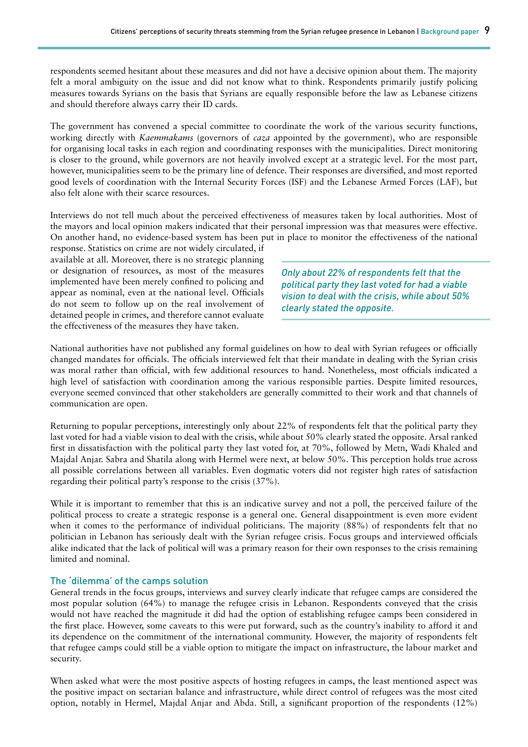respondents seemed hesitant about these measures and did not have a decisive opinion about them. The majority felt a moral ambiguity on the issue and did not know what to think. Respondents primarily justify policing measures towards Syrians on the basis that Syrians are equally responsible before the law as Lebanese citizens and should therefore always carry their ID cards.

The government has convened a special committee to coordinate the work of the various security functions, working directly with *Kaemmakams* (governors of *caza* appointed by the government), who are responsible for organising local tasks in each region and coordinating responses with the municipalities. Direct monitoring is closer to the ground, while governors are not heavily involved except at a strategic level. For the most part, however, municipalities seem to be the primary line of defence. Their responses are diversified, and most reported good levels of coordination with the Internal Security Forces (ISF) and the Lebanese Armed Forces (LAF), but also felt alone with their scarce resources.

Interviews do not tell much about the perceived effectiveness of measures taken by local authorities. Most of the mayors and local opinion makers indicated that their personal impression was that measures were effective. On another hand, no evidence-based system has been put in place to monitor the effectiveness of the national

response. Statistics on crime are not widely circulated, if available at all. Moreover, there is no strategic planning or designation of resources, as most of the measures implemented have been merely confined to policing and appear as nominal, even at the national level. Officials do not seem to follow up on the real involvement of detained people in crimes, and therefore cannot evaluate the effectiveness of the measures they have taken.

*Only about 22% of respondents felt that the political party they last voted for had a viable vision to deal with the crisis, while about 50% clearly stated the opposite.*

National authorities have not published any formal guidelines on how to deal with Syrian refugees or officially changed mandates for officials. The officials interviewed felt that their mandate in dealing with the Syrian crisis was moral rather than official, with few additional resources to hand. Nonetheless, most officials indicated a high level of satisfaction with coordination among the various responsible parties. Despite limited resources, everyone seemed convinced that other stakeholders are generally committed to their work and that channels of communication are open.

Returning to popular perceptions, interestingly only about 22% of respondents felt that the political party they last voted for had a viable vision to deal with the crisis, while about 50% clearly stated the opposite. Arsal ranked first in dissatisfaction with the political party they last voted for, at 70%, followed by Metn, Wadi Khaled and Majdal Anjar. Sabra and Shatila along with Hermel were next, at below 50%. This perception holds true across all possible correlations between all variables. Even dogmatic voters did not register high rates of satisfaction regarding their political party's response to the crisis (37%).

While it is important to remember that this is an indicative survey and not a poll, the perceived failure of the political process to create a strategic response is a general one. General disappointment is even more evident when it comes to the performance of individual politicians. The majority (88%) of respondents felt that no politician in Lebanon has seriously dealt with the Syrian refugee crisis. Focus groups and interviewed officials alike indicated that the lack of political will was a primary reason for their own responses to the crisis remaining limited and nominal.

#### The 'dilemma' of the camps solution

General trends in the focus groups, interviews and survey clearly indicate that refugee camps are considered the most popular solution (64%) to manage the refugee crisis in Lebanon. Respondents conveyed that the crisis would not have reached the magnitude it did had the option of establishing refugee camps been considered in the first place. However, some caveats to this were put forward, such as the country's inability to afford it and its dependence on the commitment of the international community. However, the majority of respondents felt that refugee camps could still be a viable option to mitigate the impact on infrastructure, the labour market and security.

When asked what were the most positive aspects of hosting refugees in camps, the least mentioned aspect was the positive impact on sectarian balance and infrastructure, while direct control of refugees was the most cited option, notably in Hermel, Majdal Anjar and Abda. Still, a significant proportion of the respondents (12%)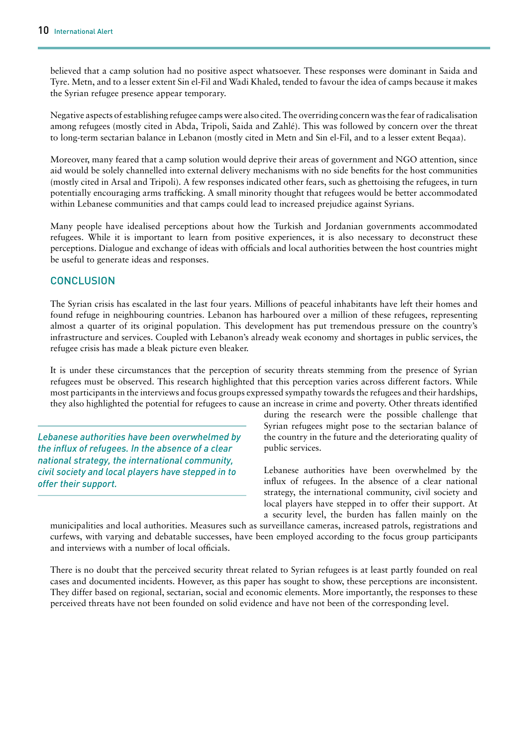believed that a camp solution had no positive aspect whatsoever. These responses were dominant in Saida and Tyre. Metn, and to a lesser extent Sin el-Fil and Wadi Khaled, tended to favour the idea of camps because it makes the Syrian refugee presence appear temporary.

Negative aspects of establishing refugee camps were also cited. The overriding concern was the fear of radicalisation among refugees (mostly cited in Abda, Tripoli, Saida and Zahlé). This was followed by concern over the threat to long-term sectarian balance in Lebanon (mostly cited in Metn and Sin el-Fil, and to a lesser extent Beqaa).

Moreover, many feared that a camp solution would deprive their areas of government and NGO attention, since aid would be solely channelled into external delivery mechanisms with no side benefits for the host communities (mostly cited in Arsal and Tripoli). A few responses indicated other fears, such as ghettoising the refugees, in turn potentially encouraging arms trafficking. A small minority thought that refugees would be better accommodated within Lebanese communities and that camps could lead to increased prejudice against Syrians.

Many people have idealised perceptions about how the Turkish and Jordanian governments accommodated refugees. While it is important to learn from positive experiences, it is also necessary to deconstruct these perceptions. Dialogue and exchange of ideas with officials and local authorities between the host countries might be useful to generate ideas and responses.

## **CONCLUSION**

The Syrian crisis has escalated in the last four years. Millions of peaceful inhabitants have left their homes and found refuge in neighbouring countries. Lebanon has harboured over a million of these refugees, representing almost a quarter of its original population. This development has put tremendous pressure on the country's infrastructure and services. Coupled with Lebanon's already weak economy and shortages in public services, the refugee crisis has made a bleak picture even bleaker.

It is under these circumstances that the perception of security threats stemming from the presence of Syrian refugees must be observed. This research highlighted that this perception varies across different factors. While most participants in the interviews and focus groups expressed sympathy towards the refugees and their hardships, they also highlighted the potential for refugees to cause an increase in crime and poverty. Other threats identified

*Lebanese authorities have been overwhelmed by the influx of refugees. In the absence of a clear national strategy, the international community, civil society and local players have stepped in to offer their support.*

during the research were the possible challenge that Syrian refugees might pose to the sectarian balance of the country in the future and the deteriorating quality of public services.

Lebanese authorities have been overwhelmed by the influx of refugees. In the absence of a clear national strategy, the international community, civil society and local players have stepped in to offer their support. At a security level, the burden has fallen mainly on the

municipalities and local authorities. Measures such as surveillance cameras, increased patrols, registrations and curfews, with varying and debatable successes, have been employed according to the focus group participants and interviews with a number of local officials.

There is no doubt that the perceived security threat related to Syrian refugees is at least partly founded on real cases and documented incidents. However, as this paper has sought to show, these perceptions are inconsistent. They differ based on regional, sectarian, social and economic elements. More importantly, the responses to these perceived threats have not been founded on solid evidence and have not been of the corresponding level.